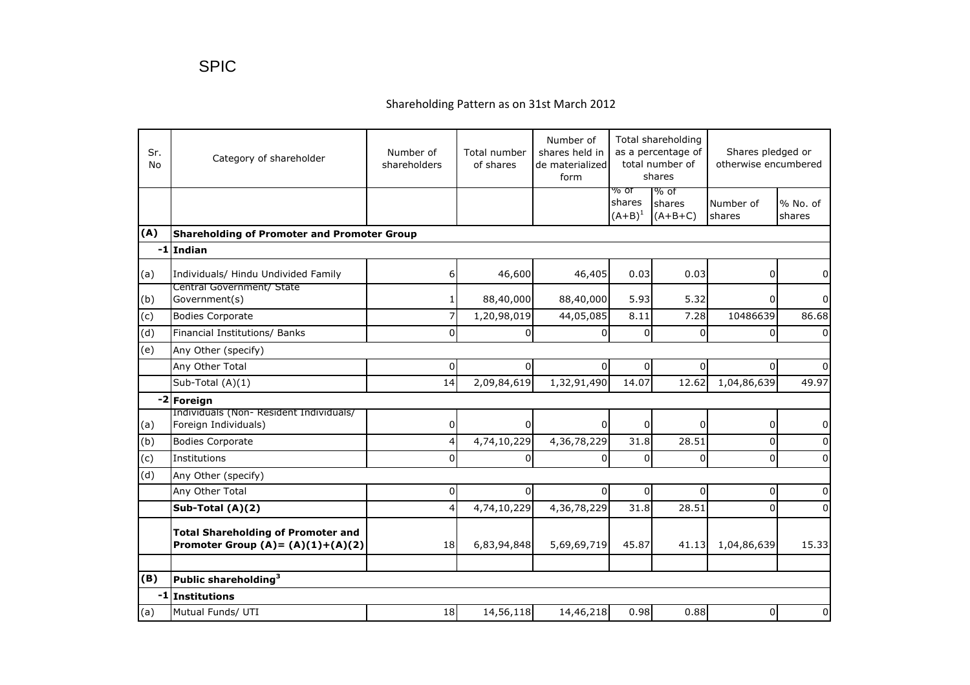## Shareholding Pattern as on 31st March 2012

| Sr.<br>No | Category of shareholder                                                           | Number of<br>shareholders | Total number<br>of shares | Number of<br>shares held in<br>de materialized<br>form | Total shareholding<br>as a percentage of<br>total number of<br>shares |                             | Shares pledged or<br>otherwise encumbered |                      |
|-----------|-----------------------------------------------------------------------------------|---------------------------|---------------------------|--------------------------------------------------------|-----------------------------------------------------------------------|-----------------------------|-------------------------------------------|----------------------|
|           |                                                                                   |                           |                           |                                                        | % of<br>shares<br>$(A + B)^1$                                         | % of<br>shares<br>$(A+B+C)$ | Number of<br>shares                       | $%$ No. of<br>shares |
| (A)       | <b>Shareholding of Promoter and Promoter Group</b>                                |                           |                           |                                                        |                                                                       |                             |                                           |                      |
|           | -1 Indian                                                                         |                           |                           |                                                        |                                                                       |                             |                                           |                      |
| (a)       | Individuals/ Hindu Undivided Family                                               | 6                         | 46,600                    | 46,405                                                 | 0.03                                                                  | 0.03                        | 0                                         | $\mathbf 0$          |
| (b)       | Central Government/ State<br>Government(s)                                        |                           | 88,40,000                 | 88,40,000                                              | 5.93                                                                  | 5.32                        | 0                                         | $\mathbf 0$          |
| (c)       | <b>Bodies Corporate</b>                                                           | 7                         | 1,20,98,019               | 44,05,085                                              | 8.11                                                                  | 7.28                        | 10486639                                  | 86.68                |
| (d)       | Financial Institutions/ Banks                                                     | $\Omega$                  | $\Omega$                  | $\Omega$                                               | $\Omega$                                                              | $\Omega$                    | $\Omega$                                  | $\Omega$             |
| (e)       | Any Other (specify)                                                               |                           |                           |                                                        |                                                                       |                             |                                           |                      |
|           | Any Other Total                                                                   | 0                         | $\Omega$                  | $\Omega$                                               | 0                                                                     | 0                           | 0                                         | $\Omega$             |
|           | Sub-Total (A)(1)                                                                  | 14                        | 2,09,84,619               | 1,32,91,490                                            | 14.07                                                                 | 12.62                       | 1,04,86,639                               | 49.97                |
|           | -2 Foreign                                                                        |                           |                           |                                                        |                                                                       |                             |                                           |                      |
| (a)       | Individuals (Non-Resident Individuals/<br>Foreign Individuals)                    | 0                         | $\mathbf 0$               | $\overline{0}$                                         | $\overline{0}$                                                        | 0                           | 0                                         | $\mathbf 0$          |
| (b)       | <b>Bodies Corporate</b>                                                           | 4                         | 4,74,10,229               | 4,36,78,229                                            | 31.8                                                                  | 28.51                       | $\Omega$                                  | $\mathbf 0$          |
| (c)       | Institutions                                                                      | $\Omega$                  | $\Omega$                  | $\Omega$                                               | 0                                                                     | $\Omega$                    | $\Omega$                                  | $\Omega$             |
| (d)       | Any Other (specify)                                                               |                           |                           |                                                        |                                                                       |                             |                                           |                      |
|           | Any Other Total                                                                   | 0                         | $\Omega$                  | $\Omega$                                               | 0                                                                     | $\Omega$                    | 0                                         | $\overline{0}$       |
|           | Sub-Total (A)(2)                                                                  | 4                         | 4,74,10,229               | 4,36,78,229                                            | 31.8                                                                  | 28.51                       | $\Omega$                                  | $\mathbf 0$          |
|           | <b>Total Shareholding of Promoter and</b><br>Promoter Group $(A) = (A)(1)+(A)(2)$ | 18                        | 6,83,94,848               | 5,69,69,719                                            | 45.87                                                                 | 41.13                       | 1,04,86,639                               | 15.33                |
| (B)       | Public shareholding <sup>3</sup>                                                  |                           |                           |                                                        |                                                                       |                             |                                           |                      |
|           | -1 Institutions                                                                   |                           |                           |                                                        |                                                                       |                             |                                           |                      |
| (a)       | Mutual Funds/ UTI                                                                 | 18                        | 14,56,118                 | 14,46,218                                              | 0.98                                                                  | 0.88                        | 0                                         | $\Omega$             |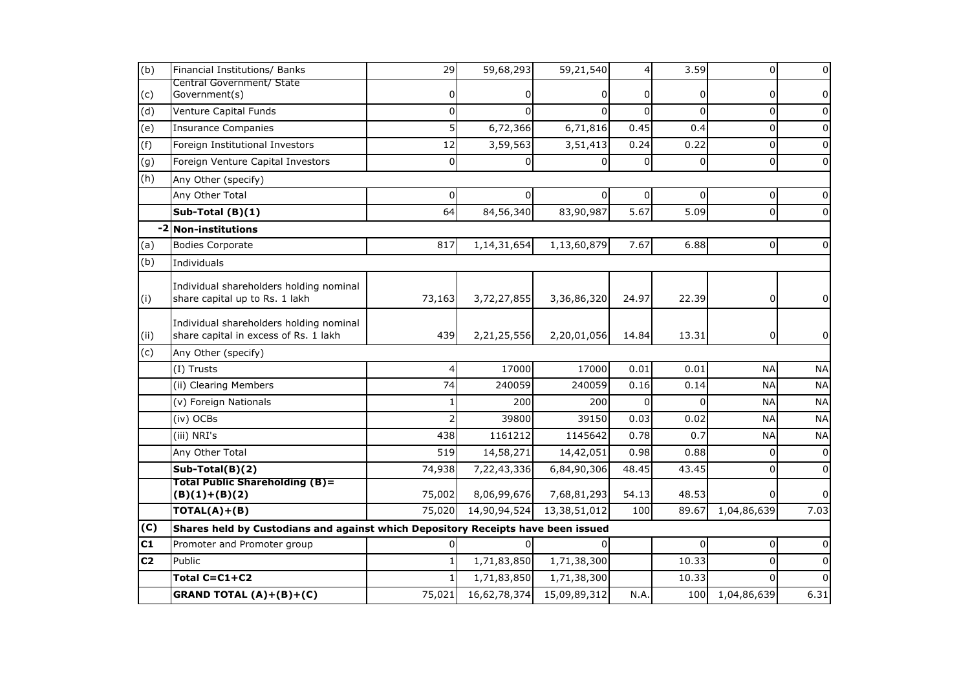| (b)            | Financial Institutions/ Banks                                                    | 29             | 59,68,293    | 59,21,540    |          | 3.59     | $\pmb{0}$      | 0              |  |
|----------------|----------------------------------------------------------------------------------|----------------|--------------|--------------|----------|----------|----------------|----------------|--|
| (c)            | Central Government/ State<br>Government(s)                                       | 0              | 0            | 0            | 0        | 0        | 0              | 0              |  |
| (d)            | Venture Capital Funds                                                            | $\overline{0}$ | $\Omega$     | $\Omega$     | $\Omega$ | $\Omega$ | $\mathbf 0$    | $\pmb{0}$      |  |
|                |                                                                                  | 5              | 6,72,366     | 6,71,816     | 0.45     | 0.4      | $\mathbf 0$    | $\pmb{0}$      |  |
| (e)            | <b>Insurance Companies</b>                                                       |                |              |              |          |          |                |                |  |
| (f)            | Foreign Institutional Investors                                                  | 12             | 3,59,563     | 3,51,413     | 0.24     | 0.22     | $\Omega$       | $\Omega$       |  |
| (g)            | Foreign Venture Capital Investors                                                | $\overline{0}$ | $\Omega$     | $\Omega$     | $\Omega$ | $\Omega$ | $\Omega$       | $\pmb{0}$      |  |
| (h)            | Any Other (specify)                                                              |                |              |              |          |          |                |                |  |
|                | Any Other Total                                                                  | 0              | $\Omega$     | 0            | $\Omega$ | $\Omega$ | $\mathbf 0$    | $\Omega$       |  |
|                | Sub-Total $(B)(1)$                                                               | 64             | 84,56,340    | 83,90,987    | 5.67     | 5.09     | $\mathbf 0$    | 0              |  |
|                | -2 Non-institutions                                                              |                |              |              |          |          |                |                |  |
| (a)            | <b>Bodies Corporate</b>                                                          | 817            | 1,14,31,654  | 1,13,60,879  | 7.67     | 6.88     | $\mathbf 0$    | $\mathbf 0$    |  |
| (b)            | Individuals                                                                      |                |              |              |          |          |                |                |  |
| (i)            | Individual shareholders holding nominal<br>share capital up to Rs. 1 lakh        | 73,163         | 3,72,27,855  | 3,36,86,320  | 24.97    | 22.39    | $\overline{0}$ | $\overline{0}$ |  |
| (ii)           | Individual shareholders holding nominal<br>share capital in excess of Rs. 1 lakh | 439            | 2,21,25,556  | 2,20,01,056  | 14.84    | 13.31    | 0              | $\overline{0}$ |  |
| (c)            | Any Other (specify)                                                              |                |              |              |          |          |                |                |  |
|                | (I) Trusts                                                                       | 4              | 17000        | 17000        | 0.01     | 0.01     | <b>NA</b>      | <b>NA</b>      |  |
|                | (ii) Clearing Members                                                            | 74             | 240059       | 240059       | 0.16     | 0.14     | <b>NA</b>      | <b>NA</b>      |  |
|                | (v) Foreign Nationals                                                            |                | 200          | 200          | $\Omega$ | $\Omega$ | <b>NA</b>      | <b>NA</b>      |  |
|                | (iv) OCBs                                                                        |                | 39800        | 39150        | 0.03     | 0.02     | <b>NA</b>      | <b>NA</b>      |  |
|                | (iii) NRI's                                                                      | 438            | 1161212      | 1145642      | 0.78     | 0.7      | <b>NA</b>      | <b>NA</b>      |  |
|                | Any Other Total                                                                  | 519            | 14,58,271    | 14,42,051    | 0.98     | 0.88     | $\Omega$       | $\pmb{0}$      |  |
|                | Sub-Total(B)(2)                                                                  | 74,938         | 7,22,43,336  | 6,84,90,306  | 48.45    | 43.45    | $\Omega$       | $\pmb{0}$      |  |
|                | <b>Total Public Shareholding (B)=</b><br>$(B)(1)+(B)(2)$                         | 75,002         | 8,06,99,676  | 7,68,81,293  | 54.13    | 48.53    | $\Omega$       | 0              |  |
|                | $TOTAL(A)+(B)$                                                                   | 75,020         | 14,90,94,524 | 13,38,51,012 | 100      | 89.67    | 1,04,86,639    | 7.03           |  |
| (C)            | Shares held by Custodians and against which Depository Receipts have been issued |                |              |              |          |          |                |                |  |
| C1             | Promoter and Promoter group                                                      | 0              | ΩI           | 0            |          | 0        | $\mathbf 0$    | 0              |  |
| C <sub>2</sub> | Public                                                                           | 1              | 1,71,83,850  | 1,71,38,300  |          | 10.33    | $\Omega$       | $\pmb{0}$      |  |
|                | Total C=C1+C2                                                                    | 1              | 1,71,83,850  | 1,71,38,300  |          | 10.33    | $\Omega$       | $\Omega$       |  |
|                | <b>GRAND TOTAL <math>(A)+(B)+(C)</math></b>                                      | 75,021         | 16,62,78,374 | 15,09,89,312 | N.A.     | 100      | 1,04,86,639    | 6.31           |  |
|                |                                                                                  |                |              |              |          |          |                |                |  |